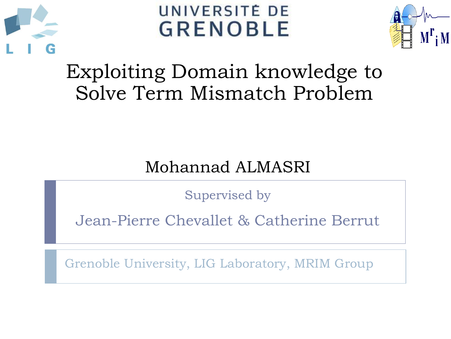

UNIVERSITÉ DE **GRENOBLE** 



## Exploiting Domain knowledge to Solve Term Mismatch Problem

#### Mohannad ALMASRI

Supervised by

Jean-Pierre Chevallet & Catherine Berrut

Grenoble University, LIG Laboratory, MRIM Group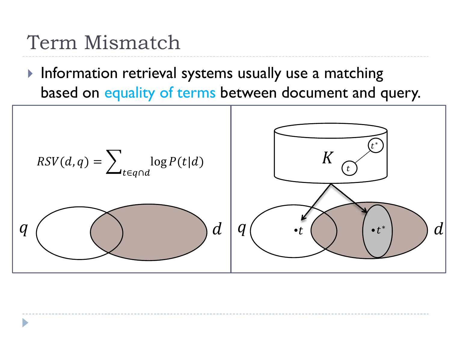## Term Mismatch

 $\blacktriangleright$  Information retrieval systems usually use a matching based on equality of terms between document and query.

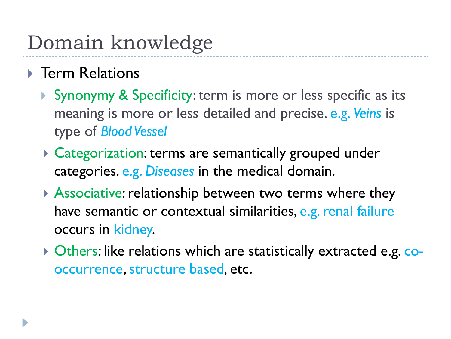# Domain knowledge

#### ▶ Term Relations

- Synonymy & Specificity: term is more or less specific as its meaning is more or less detailed and precise. e.g. *Veins* is type of *Blood Vessel*
- ▶ Categorization: terms are semantically grouped under categories. e.g. *Diseases* in the medical domain.
- Associative: relationship between two terms where they have semantic or contextual similarities, e.g. renal failure occurs in kidney.
- ▶ Others: like relations which are statistically extracted e.g. cooccurrence, structure based, etc.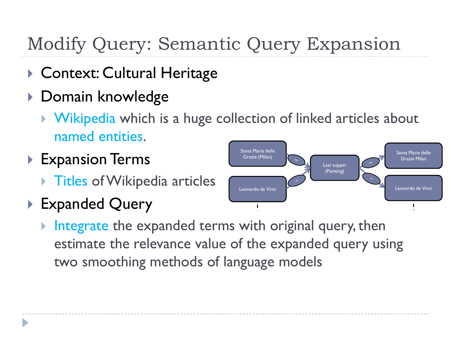## Modify Query: Semantic Query Expansion

- ▶ Context: Cultural Heritage
- ▶ Domain knowledge
	- **Wikipedia which is a huge collection of linked articles about** named entities.
- ▶ Expansion Terms
	- **Titles of Wikipedia articles**
- ▶ Expanded Query



 Integrate the expanded terms with original query, then estimate the relevance value of the expanded query using two smoothing methods of language models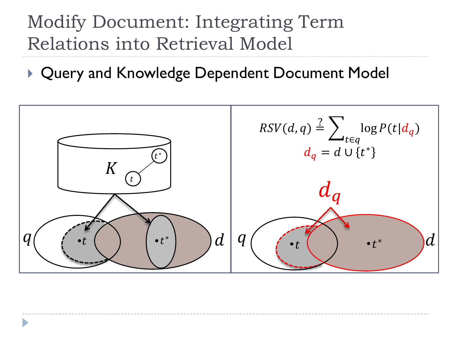## Modify Document: Integrating Term Relations into Retrieval Model

▶ Query and Knowledge Dependent Document Model

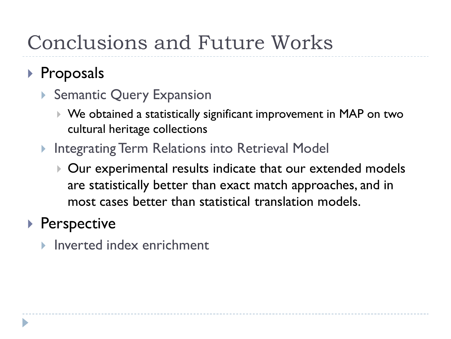## Conclusions and Future Works

#### ▶ Proposals

- ▶ Semantic Query Expansion
	- We obtained a statistically significant improvement in MAP on two cultural heritage collections
- ▶ Integrating Term Relations into Retrieval Model
	- Our experimental results indicate that our extended models are statistically better than exact match approaches, and in most cases better than statistical translation models.

#### ▶ Perspective

**Inverted index enrichment**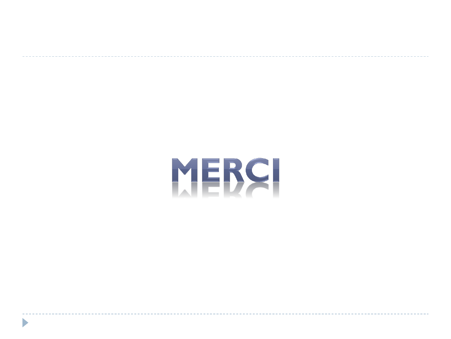# MERCI

 $\blacktriangleright$